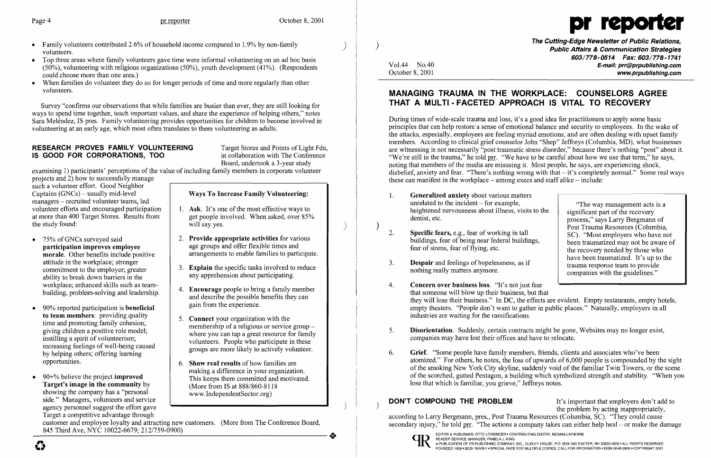- Family volunteers contributed 2.6% of household income compared to 1.9% by non-family volunteers.
- Top three areas where family volunteers gave time were informal volunteering on an ad hoc basis  $(50\%)$ , volunteering with religious organizations (50%), youth development (41%). (Respondents could choose more than one area.)
- When families do volunteer they do so for longer periods of time and more regularly than other volunteers.

examining 1) participants' perceptions of the value of including family members in corporate volunteer projects and  $\overline{2}$ ) how to successfully manage

such a volunteer effort. Good Neighbor<br>Captains (GNCs) – usually mid-level managers - recruited volunteer teams, led at more than 400 Target Stores. Results from the study found:

Survey "confirms our observations that while families are busier than ever, they are still looking for ways to spend time together, teach important values, and share the experience of helping others," notes Sara Meléndez, IS pres. Family volunteering provides opportunities for children to become involved in volunteering at an early age, which most often translates to them volunteering as adults.

## RESEARCH PROVES FAMILY VOLUNTEERING Target Stores and Points of Light Fdn,<br>IS GOOD FOR CORPORATIONS, TOO in collaboration with The Conference IS GOOD FOR CORPORATIONS, TOO

Board, undertook a 3-year study

The Cutting-Edge Newsletter of Public Relations, ) Public Affairs & Communication Strategies 603/778-0514 Fax: 603/778-1741 Vol.44 No.40<br>Corober 8, 2001<br>*E-mail: prr@prpublishing.com*<br>*Corober 8, 2001* www.prpublishing.com

During times of wide-scale trauma and loss, it's a good idea for practitioners to apply some basic principles that can help restore a sense of emotional balance and security to employees. In the wake of the attacks, especially, employees are feeling myriad emotions, and are often dealing with upset family members. According to clinical grief counselor John "Shep" Jeffreys (Columbia, MD), what businesses are witnessing is not necessarily "post traumatic stress disorder," because there's nothing "post" about it. "We're still in the trauma," he told prr. "We have to be careful about how we use that term," he says, noting that members of the media are misusing it. Most people, he says, are experiencing shock, disbelief, anxiety and fear. "There's nothing wrong with that  $-$  it's completely normal." Some real ways these can manifest in the workplace  $-$  among execs and staff alike  $-$  include:

- morale. Other benefits include positive participation improves employee attitude in the workplace; stronger<br>commitment to the employer; greater ability to break down barriers in the any apprehension about participating. workplace; enhanced skills such as team
- 90% reported participation is **beneficial** gain from the experience.<br> **to team members**: providing quality increasing feelings of well-being caused<br>by helping others; offering learning<br>coups are more likely to actively volunteer. opportunities.
- Target's image in the community by showing the company has a "personal side." Managers, volunteers and service agency personnel suggest the effort gave Target a competitive advantage through

### Ways To Increase Family Volunteering:

- volunteer efforts and encouraged participation 1. Ask. It's one of the most effective ways to<br>at more than 400 Target Stores. Results from ether have been performed. When asked, over 85% the study found:  $\begin{pmatrix} \text{with any yes.} \\ \text{with any yes.} \end{pmatrix}$
- 75% of GNCs surveyed said 2. Provide appropriate activities for various age groups and offer flexible times and arrangements to enable families to participate.
	- 3. **Explain** the specific tasks involved to reduce any apprehension about participating.
	- workplace, emianced skins such as dealing a family member building, problem-solving and leadership.  $\begin{vmatrix} 4. & \text{Encourage people to bring a family member} \\ \text{and describe the possible benefits they can} \end{vmatrix}$
	- to team members: providing quality<br>time and promoting family cohesion;<br>giving children a positive role model;<br>instilling a spirit of volunteerism;<br>increasing feelings of well-being caused<br>there you can tap a great resource
- 6. Show real results of how families are making a difference in your organization. • 90+% believe the project **improved** making a difference in your organization.<br>
This keeps them committed and motivated. (More from IS at 888/860-8118 www.IndependentSector.org)

 $\qquad \qquad \Box$ 

- 1. **Generalized anxiety** about various matter unrelated to the incident  $-$  for example, heightened nervousness about illness, visitentist, etc.
- 2. Specific fears, e.g., fear of working in tall buildings, fear of being near federal buildings, fear of sirens, fear of flying, etc.
- 3. **Despair** and feelings of hopelessness, as nothing really matters anymore.
- 4. Concern over business loss. "It's not just fear that someone will blow up their business, but that industries are waiting for the ramifications.
- companies may have lost their offices and have to relocate.
- 6. Grief. "Some people have family members, friends, clients and associates who've been lose that which is familiar, you grieve," Jeffreys notes.

**DON'T COMPOUND THE PROBLEM** It's important that employers don't add to the problem by acting inappropriately, according to Larry Bergmann, pres., Post Trauma Resources (Columbia, SC). "They could cause secondary injury," he told prr. "The actions a company takes can either help heal  $-$  or make the damage



customer and employee loyalty and attracting new customers. (More from The Conference Board, R45 Third Ave. NYC 10022-6679; 212/759-0900)



## MANAGING TRAUMA IN THE WORKPLACE: COUNSELORS AGREE THAT A MULTI - FACETED APPROACH IS VITAL TO RECOVERY

|  |    | <b>Generalized anxiety about various matters</b><br>unrelated to the incident $-$ for example,<br>heightened nervousness about illness, visits to the<br>dentist, etc. | "The way management acts is a<br>significant part of the recovery<br>process," says Larry Bergmann of<br>Post Trauma Resources (Columbia,<br>SC). "Most employers who have not<br>been traumatized may not be aware of<br>the recovery needed by those who<br>have been traumatized. It's up to the<br>trauma response team to provide<br>companies with the guidelines." |
|--|----|------------------------------------------------------------------------------------------------------------------------------------------------------------------------|---------------------------------------------------------------------------------------------------------------------------------------------------------------------------------------------------------------------------------------------------------------------------------------------------------------------------------------------------------------------------|
|  |    | <b>Specific fears, e.g., fear of working in tall</b><br>buildings, fear of being near federal buildings,<br>fear of sirens, fear of flying, etc.                       |                                                                                                                                                                                                                                                                                                                                                                           |
|  | 3. | <b>Despair</b> and feelings of hopelessness, as if<br>nothing really matters anymore.                                                                                  |                                                                                                                                                                                                                                                                                                                                                                           |
|  | 4  | Concern over business loss "It's not just fear                                                                                                                         |                                                                                                                                                                                                                                                                                                                                                                           |

they will lose their business." In DC, the effects are evident. Empty restaurants, empty hotels, empty theaters. "People don't want to gather in public places." Naturally, employers in all

5. Disorientation. Suddenly, certain contracts might be gone, Websites may no longer exist,

atomized." For others, he notes, the loss of upwards of 6,000 people is compounded by the sight of the smoking New York City skyline, suddenly void of the familiar Twin Towers, or the scene of the scorched, gutted Pentagon, a building which symbolized strength and stability. "When you

**C**